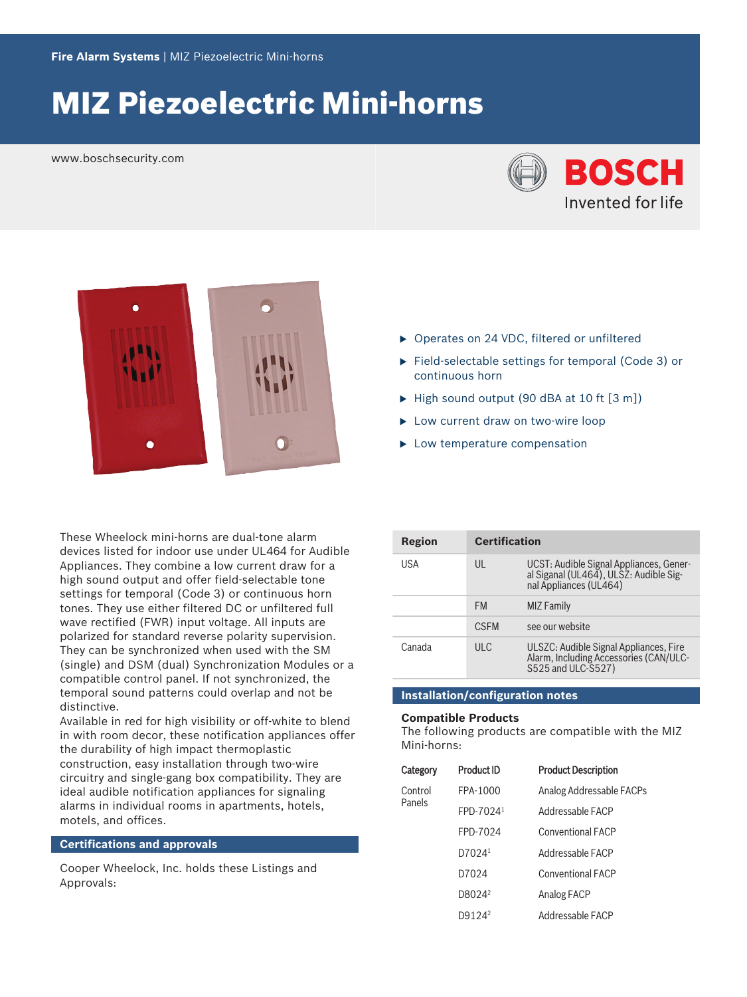# MIZ Piezoelectric Mini‑horns

www.boschsecurity.com





These Wheelock mini-horns are dual-tone alarm devices listed for indoor use under UL464 for Audible Appliances. They combine a low current draw for a high sound output and offer field-selectable tone settings for temporal (Code 3) or continuous horn tones. They use either filtered DC or unfiltered full wave rectified (FWR) input voltage. All inputs are polarized for standard reverse polarity supervision. They can be synchronized when used with the SM (single) and DSM (dual) Synchronization Modules or a compatible control panel. If not synchronized, the temporal sound patterns could overlap and not be distinctive.

Available in red for high visibility or off-white to blend in with room decor, these notification appliances offer the durability of high impact thermoplastic construction, easy installation through two‑wire circuitry and single‑gang box compatibility. They are ideal audible notification appliances for signaling alarms in individual rooms in apartments, hotels, motels, and offices.

#### **Certifications and approvals**

Cooper Wheelock, Inc. holds these Listings and Approvals:

- ▶ Operates on 24 VDC, filtered or unfiltered
- ▶ Field-selectable settings for temporal (Code 3) or continuous horn
- $\blacktriangleright$  High sound output (90 dBA at 10 ft [3 m])
- $\blacktriangleright$  Low current draw on two-wire loop
- $\blacktriangleright$  Low temperature compensation

| Region | <b>Certification</b> |                                                                                                             |
|--------|----------------------|-------------------------------------------------------------------------------------------------------------|
| USA    | UL                   | UCST: Audible Signal Appliances, Gener-<br>al Siganal (UL464), ULSZ: Audible Sig-<br>nal Appliances (UL464) |
|        | <b>FM</b>            | MIZ Family                                                                                                  |
|        | <b>CSEM</b>          | see our website                                                                                             |
| Canada | UL                   | ULSZC: Audible Signal Appliances, Fire<br>Alarm, Including Accessories (CAN/ULC-<br>\$525 and ULC-\$527)    |

### **Installation/configuration notes**

#### **Compatible Products**

The following products are compatible with the MIZ Mini‑horns:

| Category          | <b>Product ID</b>  | <b>Product Description</b> |
|-------------------|--------------------|----------------------------|
| Control<br>Panels | FPA-1000           | Analog Addressable FACPs   |
|                   | FPD-70241          | Addressable FACP           |
|                   | FPD-7024           | <b>Conventional FACP</b>   |
|                   | D7024 <sup>1</sup> | Addressable FACP           |
|                   | D7024              | <b>Conventional FACP</b>   |
|                   | D8024 <sup>2</sup> | <b>Analog FACP</b>         |
|                   | D9124 <sup>2</sup> | Addressable FACP           |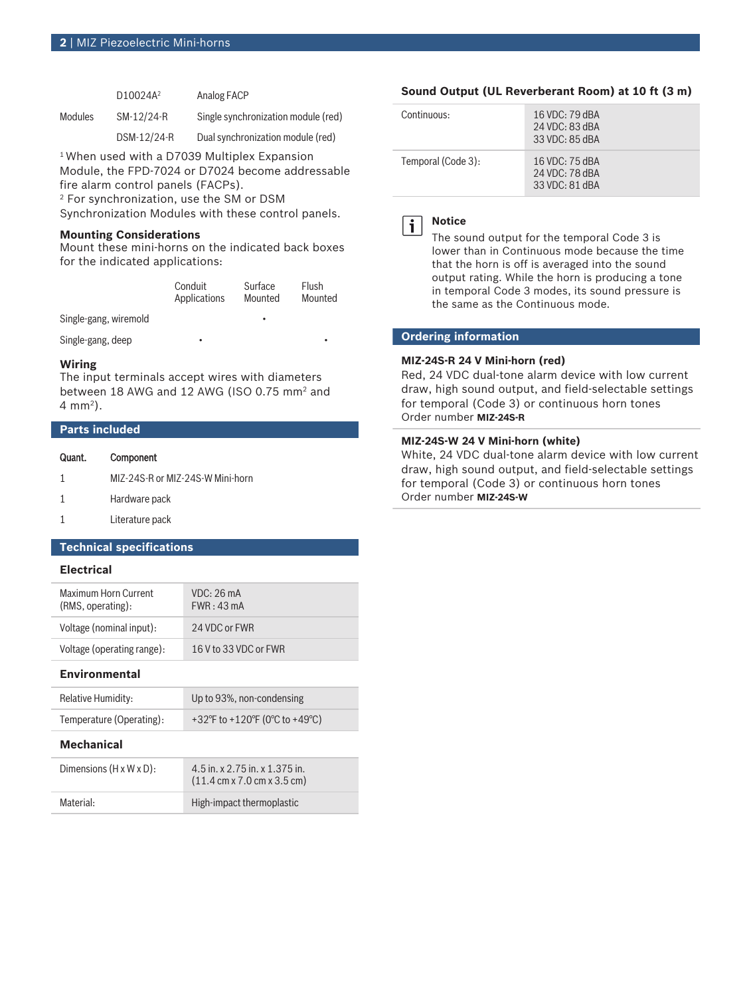|                | $D10024A^2$ | Analog FACP                         |
|----------------|-------------|-------------------------------------|
| <b>Modules</b> | SM-12/24-R  | Single synchronization module (red) |
|                | DSM-12/24-R | Dual synchronization module (red)   |

<sup>1</sup> When used with a D7039 Multiplex Expansion Module, the FPD‑7024 or D7024 become addressable fire alarm control panels (FACPs).

2 For synchronization, use the SM or DSM

Synchronization Modules with these control panels.

#### **Mounting Considerations**

Mount these mini-horns on the indicated back boxes for the indicated applications:

| Conduit      | Surface | Flush   |
|--------------|---------|---------|
| Applications | Mounted | Mounted |
|              |         |         |

Single-gang, wiremold

Single-gang, deep

#### **Wiring**

The input terminals accept wires with diameters between 18 AWG and 12 AWG (ISO 0.75 mm<sup>2</sup> and 4 mm<sup>2</sup> ).

### **Parts included**

| Quant. | Component                        |
|--------|----------------------------------|
| 1      | MIZ-24S-R or MIZ-24S-W Mini-horn |
| 1      | Hardware pack                    |
| 1      | Literature pack                  |
|        |                                  |

# **Technical specifications**

### **Electrical**

| Maximum Horn Current<br>(RMS, operating): | VDC: 26mA<br>FWR: 43mA |
|-------------------------------------------|------------------------|
| Voltage (nominal input):                  | 24 VDC or FWR          |
| Voltage (operating range):                | 16 V to 33 VDC or FWR  |

#### **Environmental**

| <b>Relative Humidity:</b> | Up to 93%, non-condensing      |
|---------------------------|--------------------------------|
| Temperature (Operating):  | +32°F to +120°F (0°C to +49°C) |

### **Mechanical**

| Dimensions $(H \times W \times D)$ : | 4.5 in. x 2.75 in. x 1.375 in.<br>$(11.4 \text{ cm} \times 7.0 \text{ cm} \times 3.5 \text{ cm})$ |
|--------------------------------------|---------------------------------------------------------------------------------------------------|
| Material:                            | High-impact thermoplastic                                                                         |

#### **Sound Output (UL Reverberant Room) at 10 ft (3 m)**

| Continuous:        | 16 VDC: $79$ dBA<br>24 VDC: 83 dBA<br>33 VDC: 85 dBA   |
|--------------------|--------------------------------------------------------|
| Temporal (Code 3): | $16$ VDC: $75$ dBA<br>24 VDC: 78 dBA<br>33 VDC: 81 dBA |



**Notice**

The sound output for the temporal Code 3 is lower than in Continuous mode because the time that the horn is off is averaged into the sound output rating. While the horn is producing a tone in temporal Code 3 modes, its sound pressure is the same as the Continuous mode.

#### **Ordering information**

#### **MIZ‑24S‑R 24 V Mini‑horn (red)**

Red, 24 VDC dual-tone alarm device with low current draw, high sound output, and field‑selectable settings for temporal (Code 3) or continuous horn tones Order number **MIZ-24S-R**

## **MIZ‑24S‑W 24 V Mini‑horn (white)**

White, 24 VDC dual-tone alarm device with low current draw, high sound output, and field-selectable settings for temporal (Code 3) or continuous horn tones Order number **MIZ-24S-W**